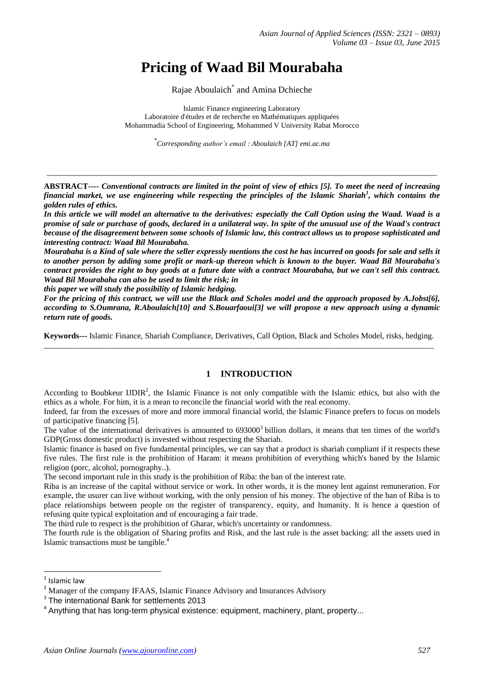# **Pricing of Waad Bil Mourabaha**

Rajae Aboulaich\* and Amina Dchieche

Islamic Finance engineering Laboratory Laboratoire d'études et de recherche en Mathématiques appliquées Mohammadia School of Engineering, Mohammed V University Rabat Morocco

*\* Corresponding author's email : Aboulaich [AT] emi.ac.ma*

**ABSTRACT----** *Conventional contracts are limited in the point of view of ethics [5]. To meet the need of increasing financial market, we use engineering while respecting the principles of the Islamic Shariah<sup>1</sup> , which contains the golden rules of ethics.*

\_\_\_\_\_\_\_\_\_\_\_\_\_\_\_\_\_\_\_\_\_\_\_\_\_\_\_\_\_\_\_\_\_\_\_\_\_\_\_\_\_\_\_\_\_\_\_\_\_\_\_\_\_\_\_\_\_\_\_\_\_\_\_\_\_\_\_\_\_\_\_\_\_\_\_\_\_\_\_\_\_\_\_\_\_\_\_\_\_\_\_\_\_\_\_\_

*In this article we will model an alternative to the derivatives: especially the Call Option using the Waad. Waad is a promise of sale or purchase of goods, declared in a unilateral way. In spite of the unusual use of the Waad's contract because of the disagreement between some schools of Islamic law, this contract allows us to propose sophisticated and interesting contract: Waad Bil Mourabaha.*

*Mourabaha is a Kind of sale where the seller expressly mentions the cost he has incurred on goods for sale and sells it to another person by adding some profit or mark-up thereon which is known to the buyer. Waad Bil Mourabaha's contract provides the right to buy goods at a future date with a contract Mourabaha, but we can't sell this contract. Waad Bil Mourabaha can also be used to limit the risk; in*

*this paper we will study the possibility of Islamic hedging.*

*For the pricing of this contract, we will use the Black and Scholes model and the approach proposed by A.Jobst[6], according to S.Oumrana, R.Aboulaich[10] and S.Bouarfaoui[3] we will propose a new approach using a dynamic return rate of goods.*

**Keywords---** Islamic Finance, Shariah Compliance, Derivatives, Call Option, Black and Scholes Model, risks, hedging. \_\_\_\_\_\_\_\_\_\_\_\_\_\_\_\_\_\_\_\_\_\_\_\_\_\_\_\_\_\_\_\_\_\_\_\_\_\_\_\_\_\_\_\_\_\_\_\_\_\_\_\_\_\_\_\_\_\_\_\_\_\_\_\_\_\_\_\_\_\_\_\_\_\_\_\_\_\_\_\_\_\_\_\_\_\_\_\_\_\_\_\_\_\_\_\_

## **1 INTRODUCTION**

According to Boubkeur  $UDIR<sup>2</sup>$ , the Islamic Finance is not only compatible with the Islamic ethics, but also with the ethics as a whole. For him, it is a mean to reconcile the financial world with the real economy.

Indeed, far from the excesses of more and more immoral financial world, the Islamic Finance prefers to focus on models of participative financing [5].

The value of the international derivatives is amounted to 693000<sup>3</sup> billion dollars, it means that ten times of the world's GDP(Gross domestic product) is invested without respecting the Shariah.

Islamic finance is based on five fundamental principles, we can say that a product is shariah compliant if it respects these five rules. The first rule is the prohibition of Haram: it means prohibition of everything which's baned by the Islamic religion (porc, alcohol, pornography..).

The second important rule in this study is the prohibition of Riba: the ban of the interest rate.

Riba is an increase of the capital without service or work. In other words, it is the money lent against remuneration. For example, the usurer can live without working, with the only pension of his money. The objective of the ban of Riba is to place relationships between people on the register of transparency, equity, and humanity. It is hence a question of refusing quite typical exploitation and of encouraging a fair trade.

The third rule to respect is the prohibition of Gharar, which's uncertainty or randomness.

The fourth rule is the obligation of Sharing profits and Risk, and the last rule is the asset backing: all the assets used in Islamic transactions must be tangible.<sup>4</sup>

**.** 

<sup>&</sup>lt;sup>1</sup> Islamic law

<sup>&</sup>lt;sup>2</sup> Manager of the company IFAAS, Islamic Finance Advisory and Insurances Advisory

<sup>&</sup>lt;sup>3</sup> The international Bank for settlements 2013

<sup>&</sup>lt;sup>4</sup> Anything that has long-term physical existence: equipment, machinery, plant, property...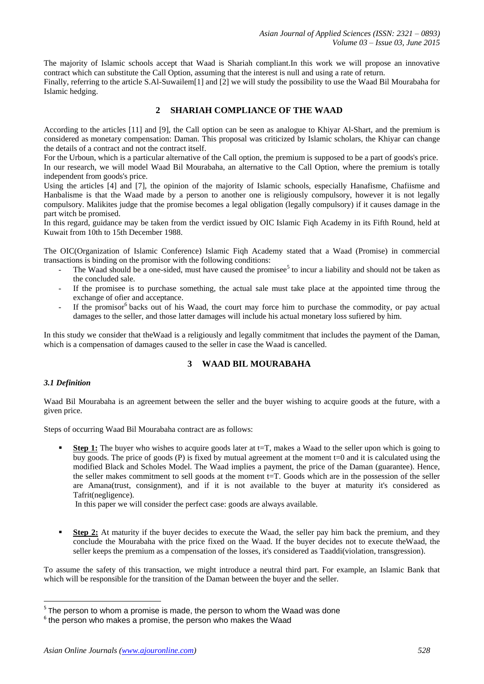The majority of Islamic schools accept that Waad is Shariah compliant.In this work we will propose an innovative contract which can substitute the Call Option, assuming that the interest is null and using a rate of return.

Finally, referring to the article S.Al-Suwailem[1] and [2] we will study the possibility to use the Waad Bil Mourabaha for Islamic hedging.

# **2 SHARIAH COMPLIANCE OF THE WAAD**

According to the articles [11] and [9], the Call option can be seen as analogue to Khiyar Al-Shart, and the premium is considered as monetary compensation: Daman. This proposal was criticized by Islamic scholars, the Khiyar can change the details of a contract and not the contract itself.

For the Urboun, which is a particular alternative of the Call option, the premium is supposed to be a part of goods's price. In our research, we will model Waad Bil Mourabaha, an alternative to the Call Option, where the premium is totally independent from goods's price.

Using the articles [4] and [7], the opinion of the majority of Islamic schools, especially Hanafisme, Chafiisme and Hanbalisme is that the Waad made by a person to another one is religiously compulsory, however it is not legally compulsory. Malikites judge that the promise becomes a legal obligation (legally compulsory) if it causes damage in the part witch be promised.

In this regard, guidance may be taken from the verdict issued by OIC Islamic Fiqh Academy in its Fifth Round, held at Kuwait from 10th to 15th December 1988.

The OIC(Organization of Islamic Conference) Islamic Fiqh Academy stated that a Waad (Promise) in commercial transactions is binding on the promisor with the following conditions:

- The Waad should be a one-sided, must have caused the promisee<sup>5</sup> to incur a liability and should not be taken as the concluded sale.
- If the promisee is to purchase something, the actual sale must take place at the appointed time throug the exchange of ofier and acceptance.
- If the promisor<sup>6</sup> backs out of his Waad, the court may force him to purchase the commodity, or pay actual damages to the seller, and those latter damages will include his actual monetary loss sufiered by him.

In this study we consider that theWaad is a religiously and legally commitment that includes the payment of the Daman, which is a compensation of damages caused to the seller in case the Waad is cancelled.

# **3 WAAD BIL MOURABAHA**

# *3.1 Definition*

Waad Bil Mourabaha is an agreement between the seller and the buyer wishing to acquire goods at the future, with a given price.

Steps of occurring Waad Bil Mourabaha contract are as follows:

**Step 1:** The buyer who wishes to acquire goods later at t=T, makes a Waad to the seller upon which is going to buy goods. The price of goods (P) is fixed by mutual agreement at the moment t=0 and it is calculated using the modified Black and Scholes Model. The Waad implies a payment, the price of the Daman (guarantee). Hence, the seller makes commitment to sell goods at the moment  $t=T$ . Goods which are in the possession of the seller are Amana(trust, consignment), and if it is not available to the buyer at maturity it's considered as Tafrit(negligence).

In this paper we will consider the perfect case: goods are always available.

**Step 2:** At maturity if the buyer decides to execute the Waad, the seller pay him back the premium, and they conclude the Mourabaha with the price fixed on the Waad. If the buyer decides not to execute theWaad, the seller keeps the premium as a compensation of the losses, it's considered as Taaddi(violation, transgression).

To assume the safety of this transaction, we might introduce a neutral third part. For example, an Islamic Bank that which will be responsible for the transition of the Daman between the buyer and the seller.

 5 The person to whom a promise is made, the person to whom the Waad was done

 $6$  the person who makes a promise, the person who makes the Waad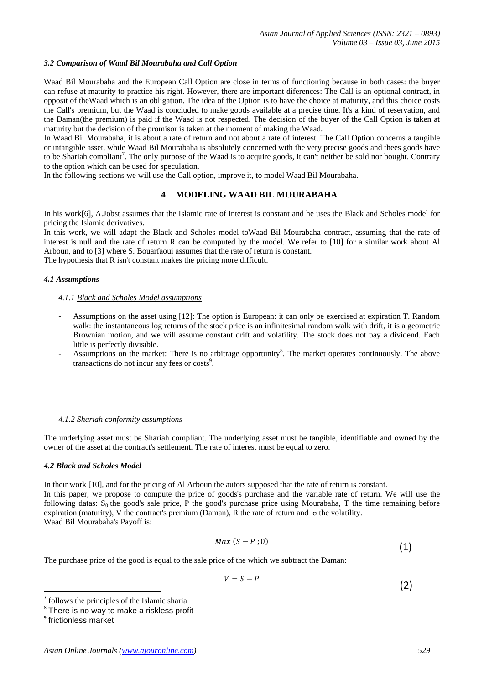# *3.2 Comparison of Waad Bil Mourabaha and Call Option*

Waad Bil Mourabaha and the European Call Option are close in terms of functioning because in both cases: the buyer can refuse at maturity to practice his right. However, there are important diferences: The Call is an optional contract, in opposit of theWaad which is an obligation. The idea of the Option is to have the choice at maturity, and this choice costs the Call's premium, but the Waad is concluded to make goods available at a precise time. It's a kind of reservation, and the Daman(the premium) is paid if the Waad is not respected. The decision of the buyer of the Call Option is taken at maturity but the decision of the promisor is taken at the moment of making the Waad.

In Waad Bil Mourabaha, it is about a rate of return and not about a rate of interest. The Call Option concerns a tangible or intangible asset, while Waad Bil Mourabaha is absolutely concerned with the very precise goods and thees goods have to be Shariah compliant<sup>7</sup>. The only purpose of the Waad is to acquire goods, it can't neither be sold nor bought. Contrary to the option which can be used for speculation.

In the following sections we will use the Call option, improve it, to model Waad Bil Mourabaha.

# **4 MODELING WAAD BIL MOURABAHA**

In his work[6], A.Jobst assumes that the Islamic rate of interest is constant and he uses the Black and Scholes model for pricing the Islamic derivatives.

In this work, we will adapt the Black and Scholes model toWaad Bil Mourabaha contract, assuming that the rate of interest is null and the rate of return R can be computed by the model. We refer to [10] for a similar work about Al Arboun, and to [3] where S. Bouarfaoui assumes that the rate of return is constant.

The hypothesis that R isn't constant makes the pricing more difficult.

## *4.1 Assumptions*

# *4.1.1 Black and Scholes Model assumptions*

- Assumptions on the asset using [12]: The option is European: it can only be exercised at expiration T. Random walk: the instantaneous log returns of the stock price is an infinitesimal random walk with drift, it is a geometric Brownian motion, and we will assume constant drift and volatility. The stock does not pay a dividend. Each little is perfectly divisible.
- Assumptions on the market: There is no arbitrage opportunity<sup>8</sup>. The market operates continuously. The above transactions do not incur any fees or costs<sup>9</sup>.

#### *4.1.2 Shariah conformity assumptions*

The underlying asset must be Shariah compliant. The underlying asset must be tangible, identifiable and owned by the owner of the asset at the contract's settlement. The rate of interest must be equal to zero.

#### *4.2 Black and Scholes Model*

In their work [10], and for the pricing of Al Arboun the autors supposed that the rate of return is constant. In this paper, we propose to compute the price of goods's purchase and the variable rate of return. We will use the following datas:  $S_0$  the good's sale price, P the good's purchase price using Mourabaha, T the time remaining before expiration (maturity), V the contract's premium (Daman), R the rate of return and  $\sigma$  the volatility. Waad Bil Mourabaha's Payoff is:

$$
Max(S - P; 0) \tag{1}
$$

The purchase price of the good is equal to the sale price of the which we subtract the Daman:

$$
V = S - P \tag{2}
$$

**.** 

<sup>7</sup> follows the principles of the Islamic sharia

<sup>&</sup>lt;sup>8</sup> There is no way to make a riskless profit

<sup>&</sup>lt;sup>9</sup> frictionless market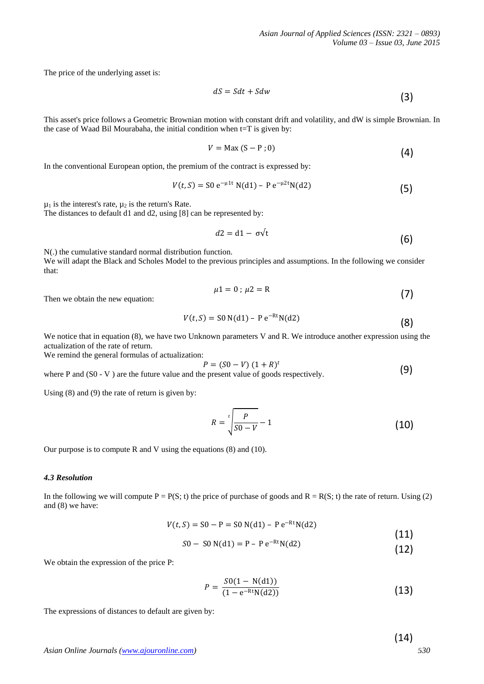The price of the underlying asset is:

$$
dS = Sdt + Sdw
$$
\n(3)

This asset's price follows a Geometric Brownian motion with constant drift and volatility, and dW is simple Brownian. In the case of Waad Bil Mourabaha, the initial condition when t=T is given by:

$$
V = \text{Max}(S - P; 0) \tag{4}
$$

In the conventional European option, the premium of the contract is expressed by:

$$
V(t, S) = S0 e^{-\mu 1t} N(d1) - P e^{-\mu 2t} N(d2)
$$
 (5)

 $\mu_1$  is the interest's rate,  $\mu_2$  is the return's Rate.

The distances to default d1 and d2, using [8] can be represented by:

$$
d2 = d1 - \sigma \sqrt{t}
$$
 (6)

N(.) the cumulative standard normal distribution function.

We will adapt the Black and Scholes Model to the previous principles and assumptions. In the following we consider that:

$$
\mu 1 = 0; \ \mu 2 = R \tag{7}
$$

Then we obtain the new equation:

$$
V(t, S) = S0 N(d1) - P e^{-Rt} N(d2)
$$
 (8)

We notice that in equation (8), we have two Unknown parameters V and R. We introduce another expression using the actualization of the rate of return.

We remind the general formulas of actualization:

$$
P = (S0 - V) (1 + R)^t
$$
 (9)

where P and (S0 - V) are the future value and the present value of goods respectively. (9)

Using (8) and (9) the rate of return is given by:

$$
R = \sqrt[t]{\frac{P}{S0 - V}} - 1
$$
 (10)

Our purpose is to compute R and V using the equations (8) and (10).

# *4.3 Resolution*

In the following we will compute  $P = P(S; t)$  the price of purchase of goods and  $R = R(S; t)$  the rate of return. Using (2) and (8) we have:

$$
V(t, S) = S0 - P = S0 N(d1) - Pe^{-Rt} N(d2)
$$
\n(11)

$$
S0 - S0 N(d1) = P - P e^{-Rt} N(d2)
$$
\n(12)

We obtain the expression of the price P:

$$
P = \frac{S0(1 - N(d1))}{(1 - e^{-Rt}N(d2))}
$$
\n(13)

The expressions of distances to default are given by:

(14)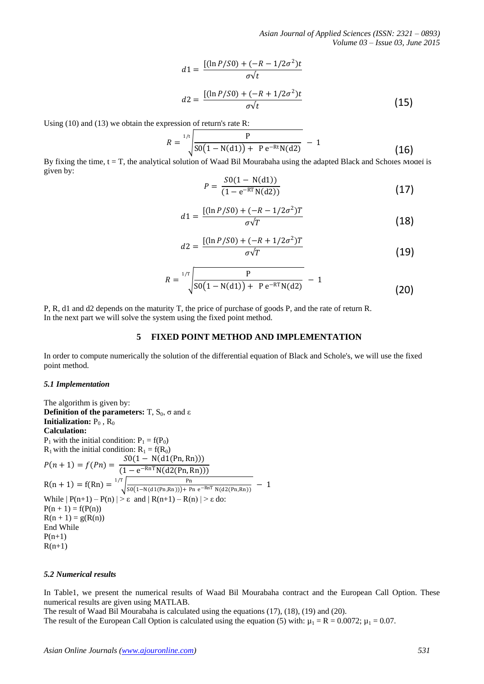*Asian Journal of Applied Sciences (ISSN: 2321 – 0893) Volume 03 – Issue 03, June 2015*

$$
d1 = \frac{[(\ln P/S0) + (-R - 1/2\sigma^2)t]}{\sigma \sqrt{t}}
$$
  

$$
d2 = \frac{[(\ln P/S0) + (-R + 1/2\sigma^2)t]}{\sigma \sqrt{t}}
$$
(15)

Using (10) and (13) we obtain the expression of return's rate R:

$$
R = \sqrt[1/t]{\frac{P}{SO(1 - N(d1)) + Pe^{-Rt}N(d2)}} - 1
$$
 (16)

By fixing the time,  $t = T$ , the analytical solution of Waad Bil Mourabaha using the adapted Black and Scholes Model is given by:

$$
P = \frac{S0(1 - N(d1))}{(1 - e^{-RT}N(d2))}
$$
\n(17)

$$
d1 = \frac{[(\ln P/S0) + (-R - 1/2\sigma^2)T]}{\sigma\sqrt{T}}
$$
 (18)

$$
d2 = \frac{[(\ln P/S0) + (-R + 1/2\sigma^2)T]}{\sigma\sqrt{T}}
$$
(19)

$$
R = \sqrt[1/T]{\frac{P}{SO(1 - N(d1)) + Pe^{-RT}N(d2)}} - 1
$$
 (20)

P, R, d1 and d2 depends on the maturity T, the price of purchase of goods P, and the rate of return R. In the next part we will solve the system using the fixed point method.

## **5 FIXED POINT METHOD AND IMPLEMENTATION**

In order to compute numerically the solution of the differential equation of Black and Schole's, we will use the fixed point method.

#### *5.1 Implementation*

The algorithm is given by: **Definition of the parameters:**  $T$ ,  $S_0$ ,  $\sigma$  and  $\varepsilon$ **Initialization:**  $P_0$ ,  $R_0$ **Calculation:**  $P_1$  with the initial condition:  $P_1 = f(P_0)$  $R_1$  with the initial condition:  $R_1 = f(R_0)$  $P(n + 1) = f(Pn) = \frac{S0(1 - N(d1(Pn, Rn)))}{(1 - \frac{PnT N(d1(Qn, Rn))}{S(n, Rn))}}$  $(1 - e^{-RnT} N(d2(Pn, Rn)))$  $R(n + 1) = f(Rn) = \frac{1}{T} \sqrt{\frac{Pn}{\text{SO}(1 - N(d_1(Pn, Rn))) - Pn}}$  $S0(1-N(d1(Pn, Rn))) + Pn e^{-RnT} N(d2(Pn, Rn))$  $\frac{1/T}{\cos((1 - N(41/2p_1 - p_2))) + p_1 - RnT N(43/2p_1 - p_2))} - 1$ While  $|P(n+1) - P(n)| > \varepsilon$  and  $|R(n+1) - R(n)| > \varepsilon$  do:  $P(n + 1) = f(P(n))$  $R(n + 1) = g(R(n))$ End While  $P(n+1)$  $R(n+1)$ 

#### *5.2 Numerical results*

In Table1, we present the numerical results of Waad Bil Mourabaha contract and the European Call Option. These numerical results are given using MATLAB.

The result of Waad Bil Mourabaha is calculated using the equations (17), (18), (19) and (20).

The result of the European Call Option is calculated using the equation (5) with:  $\mu_1 = R = 0.0072$ ;  $\mu_1 = 0.07$ .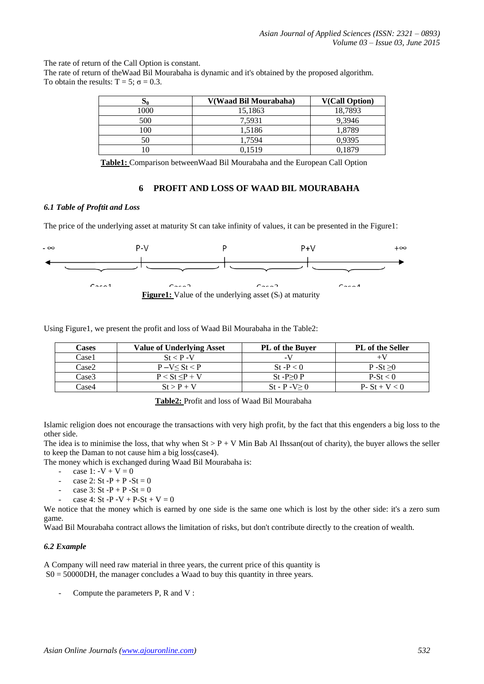The rate of return of the Call Option is constant.

The rate of return of theWaad Bil Mourabaha is dynamic and it's obtained by the proposed algorithm. To obtain the results:  $T = 5$ ;  $\sigma = 0.3$ .

| 00   | V(Waad Bil Mourabaha) | <b>V(Call Option)</b> |  |
|------|-----------------------|-----------------------|--|
| 1000 | 15,1863               | 18,7893               |  |
| 500  | 7.5931                | 9,3946                |  |
| 100  | 1,5186                | 1,8789                |  |
| 50   | 1.7594                | 0,9395                |  |
|      | 0.1519                | 0,1879                |  |

**Table1:** Comparison betweenWaad Bil Mourabaha and the European Call Option

# **6 PROFIT AND LOSS OF WAAD BIL MOURABAHA**

#### *6.1 Table of Proftit and Loss*

The price of the underlying asset at maturity St can take infinity of values, it can be presented in the Figure1:



Using Figure1, we present the profit and loss of Waad Bil Mourabaha in the Table2:

| Cases | <b>Value of Underlying Asset</b> | <b>PL</b> of the Buver | PL of the Seller      |
|-------|----------------------------------|------------------------|-----------------------|
| Case1 | $St < P - V$                     | -V                     |                       |
| Case2 | $P - V < St < P$                 | $St-P < 0$             | $P-St>0$              |
| Case3 | $P < St < P + V$                 | $St - P > 0 P$         | $P-St < 0$            |
| Case4 | $St > P + V$                     | $St - P - V > 0$       | <b>P</b> - St + V < 0 |

**Table2:** Profit and loss of Waad Bil Mourabaha

Islamic religion does not encourage the transactions with very high profit, by the fact that this engenders a big loss to the other side.

The idea is to minimise the loss, that why when  $St > P + V$  Min Bab Al Ihssan(out of charity), the buyer allows the seller to keep the Daman to not cause him a big loss(case4).

The money which is exchanged during Waad Bil Mourabaha is:

- case 1:  $-V + V = 0$
- case 2:  $St P + P St = 0$
- case 3: St -P + P -St = 0
- case 4: St -P -V + P-St + V = 0

We notice that the money which is earned by one side is the same one which is lost by the other side: it's a zero sum game.

Waad Bil Mourabaha contract allows the limitation of risks, but don't contribute directly to the creation of wealth.

### *6.2 Example*

A Company will need raw material in three years, the current price of this quantity is  $S0 = 50000$ DH, the manager concludes a Waad to buy this quantity in three years.

Compute the parameters P, R and V: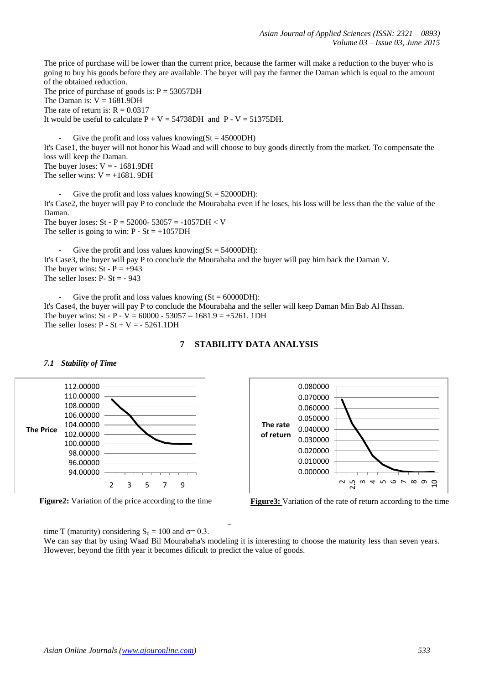The price of purchase will be lower than the current price, because the farmer will make a reduction to the buyer who is going to buy his goods before they are available. The buyer will pay the farmer the Daman which is equal to the amount of the obtained reduction.

The price of purchase of goods is:  $P = 53057DH$ The Daman is:  $V = 1681.9DH$ The rate of return is:  $R = 0.0317$ It would be useful to calculate  $P + V = 54738DH$  and  $P - V = 51375DH$ .

Give the profit and loss values knowing( $St = 45000DH$ ) It's Case1, the buyer will not honor his Waad and will choose to buy goods directly from the market. To compensate the loss will keep the Daman. The buyer loses:  $V = -1681.9DH$ The seller wins:  $V = +1681$ . 9DH

Give the profit and loss values knowing( $St = 52000DH$ ): It's Case2, the buyer will pay P to conclude the Mourabaha even if he loses, his loss will be less than the the value of the Daman.

The buyer loses:  $St - P = 52000 - 53057 = -1057DH < V$ The seller is going to win:  $P - St = +1057DH$ 

Give the profit and loss values knowing( $St = 54000DH$ ): It's Case3, the buyer will pay P to conclude the Mourabaha and the buyer will pay him back the Daman V. The buyer wins:  $St - P = +943$ The seller loses:  $P - St = -943$ 

Give the profit and loss values knowing  $(St = 60000DH)$ : It's Case4, the buyer will pay P to conclude the Mourabaha and the seller will keep Daman Min Bab Al Ihssan. The buyer wins:  $St - P - V = 60000 - 53057 - 1681.9 = +5261.1DH$ The seller loses:  $P - St + V = -5261.1DH$ 

# **7 STABILITY DATA ANALYSIS**

# *7.1 Stability of Time*



Figure 2: Variation of the price according to the time





Figure2 and Figure3, illustrate the shape of price's variation P and of the rate of return R respectively associated with the time T (maturity) considering  $S_0 = 100$  and  $\sigma = 0.3$ .

We can say that by using Waad Bil Mourabaha's modeling it is interesting to choose the maturity less than seven years. However, beyond the fifth year it becomes dificult to predict the value of goods.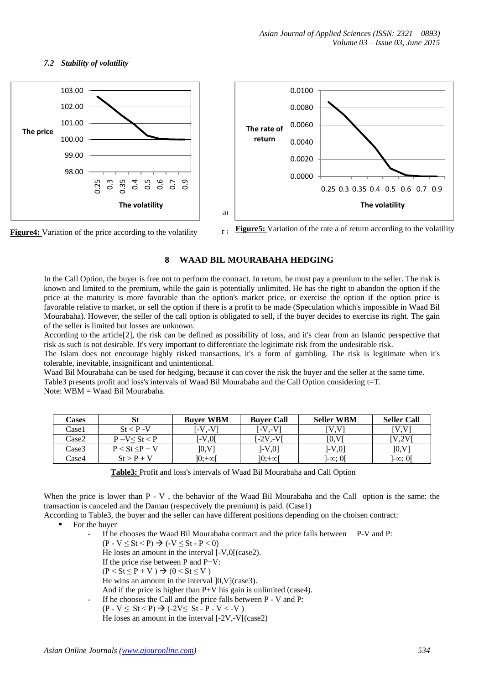# *7.2 Stability of volatility*





**Figure5:** Variation of the rate a of return according to the volatility

# **8 WAAD BIL MOURABAHA HEDGING**

In the Call Option, the buyer is free not to perform the contract. In return, he must pay a premium to the seller. The risk is known and limited to the premium, while the gain is potentially unlimited. He has the right to abandon the option if the price at the maturity is more favorable than the option's market price, or exercise the option if the option price is favorable relative to market, or sell the option if there is a profit to be made (Speculation which's impossible in Waad Bil Mourabaha). However, the seller of the call option is obligated to sell, if the buyer decides to exercise its right. The gain of the seller is limited but losses are unknown.

According to the article[2], the risk can be defined as possibility of loss, and it's clear from an Islamic perspective that risk as such is not desirable. It's very important to differentiate the legitimate risk from the undesirable risk.

The Islam does not encourage highly risked transactions, it's a form of gambling. The risk is legitimate when it's tolerable, inevitable, insignificant and unintentional.

Waad Bil Mourabaha can be used for hedging, because it can cover the risk the buyer and the seller at the same time. Table3 presents profit and loss's intervals of Waad Bil Mourabaha and the Call Option considering t=T.

Note: WBM = Waad Bil Mourabaha.

| Cases | St               | <b>Buver WBM</b> | <b>Buver Call</b> | <b>Seller WBM</b> | <b>Seller Call</b> |
|-------|------------------|------------------|-------------------|-------------------|--------------------|
| Case1 | $St < P - V$     | [-V.-V]          | [-V.-V]           | [V.V]             | <b>IV.VI</b>       |
| Case2 | $P-V < St < P$   | $\sim 0.01$      | 1-2V.-VI          | [0, V]            | IV.2VI             |
| Case3 | $P < St < P + V$ | [0, V]           | 1-V.01            | 1-V.01            | [0, V]             |
| Case4 | $St > P + V$     | ]୦:+∞[           | ]0:+∞[            | $]-\infty$ : Of   | ]- $\infty$ : O[   |

**Table3:** Profit and loss's intervals of Waad Bil Mourabaha and Call Option

When the price is lower than P - V, the behavior of the Waad Bil Mourabaha and the Call option is the same: the transaction is canceled and the Daman (respectively the premium) is paid. (Case1)

According to Table3, the buyer and the seller can have different positions depending on the choisen contract:

- For the buyer
	- If he chooses the Waad Bil Mourabaha contract and the price falls between P-V and P:  $(P - V \le St < P) \rightarrow (-V \le St - P < 0)$ He loses an amount in the interval [-V,0[(case2). If the price rise between P and P+V:  $(P < St \leq P + V) \rightarrow (0 < St \leq V)$ He wins an amount in the interval ]0,V](case3). And if the price is higher than P+V his gain is unlimited (case4). If he chooses the Call and the price falls between P - V and P:  $(P - V \le St < P) \rightarrow (-2V \le St - P - V < -V)$

He loses an amount in the interval [-2V,-V[(case2)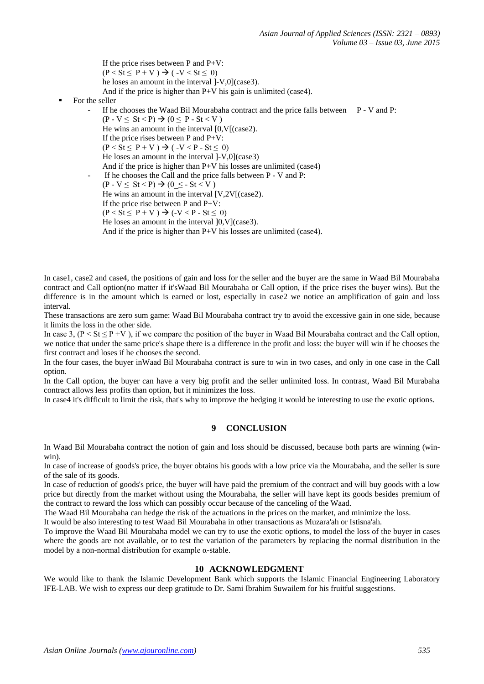If the price rises between P and P+V:  $(P < St \leq P + V) \rightarrow ( -V < St \leq 0)$ he loses an amount in the interval ]-V,0](case3). And if the price is higher than P+V his gain is unlimited (case4).

## For the seller

If he chooses the Waad Bil Mourabaha contract and the price falls between  $P - V$  and P:  $(P - V \le St \le P) \rightarrow (0 \le P - St \le V)$ He wins an amount in the interval [0,V[(case2). If the price rises between P and P+V:  $(P < St < P + V) \rightarrow ( -V < P - St < 0)$ He loses an amount in the interval ]-V,0](case3) And if the price is higher than P+V his losses are unlimited (case4) If he chooses the Call and the price falls between P - V and P:  $(P - V < St < P) \rightarrow (0 < - St < V)$ He wins an amount in the interval [V,2V[(case2). If the price rise between P and P+V:  $(P < St \le P + V) \rightarrow (-V < P - St \le 0)$ He loses an amount in the interval ]0,V](case3). And if the price is higher than P+V his losses are unlimited (case4).

In case1, case2 and case4, the positions of gain and loss for the seller and the buyer are the same in Waad Bil Mourabaha contract and Call option(no matter if it'sWaad Bil Mourabaha or Call option, if the price rises the buyer wins). But the difference is in the amount which is earned or lost, especially in case2 we notice an amplification of gain and loss interval.

These transactions are zero sum game: Waad Bil Mourabaha contract try to avoid the excessive gain in one side, because it limits the loss in the other side.

In case 3,  $(P \leq St \leq P + V)$ , if we compare the position of the buyer in Waad Bil Mourabaha contract and the Call option, we notice that under the same price's shape there is a difference in the profit and loss: the buyer will win if he chooses the first contract and loses if he chooses the second.

In the four cases, the buyer inWaad Bil Mourabaha contract is sure to win in two cases, and only in one case in the Call option.

In the Call option, the buyer can have a very big profit and the seller unlimited loss. In contrast, Waad Bil Murabaha contract allows less profits than option, but it minimizes the loss.

In case4 it's difficult to limit the risk, that's why to improve the hedging it would be interesting to use the exotic options.

# **9 CONCLUSION**

In Waad Bil Mourabaha contract the notion of gain and loss should be discussed, because both parts are winning (winwin).

In case of increase of goods's price, the buyer obtains his goods with a low price via the Mourabaha, and the seller is sure of the sale of its goods.

In case of reduction of goods's price, the buyer will have paid the premium of the contract and will buy goods with a low price but directly from the market without using the Mourabaha, the seller will have kept its goods besides premium of the contract to reward the loss which can possibly occur because of the canceling of the Waad.

The Waad Bil Mourabaha can hedge the risk of the actuations in the prices on the market, and minimize the loss.

It would be also interesting to test Waad Bil Mourabaha in other transactions as Muzara'ah or Istisna'ah.

To improve the Waad Bil Mourabaha model we can try to use the exotic options, to model the loss of the buyer in cases where the goods are not available, or to test the variation of the parameters by replacing the normal distribution in the model by a non-normal distribution for example  $\alpha$ -stable.

#### **10 ACKNOWLEDGMENT**

We would like to thank the Islamic Development Bank which supports the Islamic Financial Engineering Laboratory IFE-LAB. We wish to express our deep gratitude to Dr. Sami Ibrahim Suwailem for his fruitful suggestions.